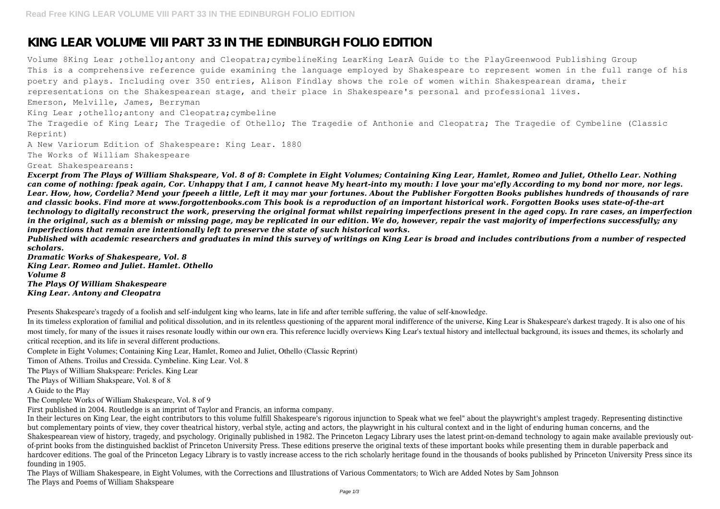# **KING LEAR VOLUME VIII PART 33 IN THE EDINBURGH FOLIO EDITION**

Volume 8King Lear ;othello;antony and Cleopatra;cymbelineKing LearKing LearA Guide to the PlayGreenwood Publishing Group This is a comprehensive reference guide examining the language employed by Shakespeare to represent women in the full range of his poetry and plays. Including over 350 entries, Alison Findlay shows the role of women within Shakespearean drama, their representations on the Shakespearean stage, and their place in Shakespeare's personal and professional lives. Emerson, Melville, James, Berryman

King Lear ;othello;antony and Cleopatra;cymbeline

The Tragedie of King Lear; The Tragedie of Othello; The Tragedie of Anthonie and Cleopatra; The Tragedie of Cymbeline (Classic Reprint)

A New Variorum Edition of Shakespeare: King Lear. 1880

The Works of William Shakespeare

Great Shakespeareans:

*Excerpt from The Plays of William Shakspeare, Vol. 8 of 8: Complete in Eight Volumes; Containing King Lear, Hamlet, Romeo and Juliet, Othello Lear. Nothing can come of nothing: fpeak again, Cor. Unhappy that I am, I cannot heave My heart-into my mouth: I love your ma'efly According to my bond nor more, nor legs. Lear. How, how, Cordelia? Mend your fpeeeh a little, Left it may mar your fortunes. About the Publisher Forgotten Books publishes hundreds of thousands of rare and classic books. Find more at www.forgottenbooks.com This book is a reproduction of an important historical work. Forgotten Books uses state-of-the-art technology to digitally reconstruct the work, preserving the original format whilst repairing imperfections present in the aged copy. In rare cases, an imperfection in the original, such as a blemish or missing page, may be replicated in our edition. We do, however, repair the vast majority of imperfections successfully; any imperfections that remain are intentionally left to preserve the state of such historical works.*

*Published with academic researchers and graduates in mind this survey of writings on King Lear is broad and includes contributions from a number of respected scholars.*

*Dramatic Works of Shakespeare, Vol. 8 King Lear. Romeo and Juliet. Hamlet. Othello Volume 8 The Plays Of William Shakespeare King Lear. Antony and Cleopatra*

Presents Shakespeare's tragedy of a foolish and self-indulgent king who learns, late in life and after terrible suffering, the value of self-knowledge.

In its timeless exploration of familial and political dissolution, and in its relentless questioning of the apparent moral indifference of the universe, King Lear is Shakespeare's darkest tragedy. It is also one of his most timely, for many of the issues it raises resonate loudly within our own era. This reference lucidly overviews King Lear's textual history and intellectual background, its issues and themes, its scholarly and critical reception, and its life in several different productions.

Complete in Eight Volumes; Containing King Lear, Hamlet, Romeo and Juliet, Othello (Classic Reprint)

Timon of Athens. Troilus and Cressida. Cymbeline. King Lear. Vol. 8

The Plays of William Shakspeare: Pericles. King Lear

The Plays of William Shakspeare, Vol. 8 of 8

A Guide to the Play

The Complete Works of William Shakespeare, Vol. 8 of 9

First published in 2004. Routledge is an imprint of Taylor and Francis, an informa company.

In their lectures on King Lear, the eight contributors to this volume fulfill Shakespeare's rigorous injunction to Speak what we feel" about the playwright's amplest tragedy. Representing distinctive but complementary points of view, they cover theatrical history, verbal style, acting and actors, the playwright in his cultural context and in the light of enduring human concerns, and the Shakespearean view of history, tragedy, and psychology. Originally published in 1982. The Princeton Legacy Library uses the latest print-on-demand technology to again make available previously outof-print books from the distinguished backlist of Princeton University Press. These editions preserve the original texts of these important books while presenting them in durable paperback and hardcover editions. The goal of the Princeton Legacy Library is to vastly increase access to the rich scholarly heritage found in the thousands of books published by Princeton University Press since its founding in 1905.

The Plays of William Shakespeare, in Eight Volumes, with the Corrections and Illustrations of Various Commentators; to Wich are Added Notes by Sam Johnson The Plays and Poems of William Shakspeare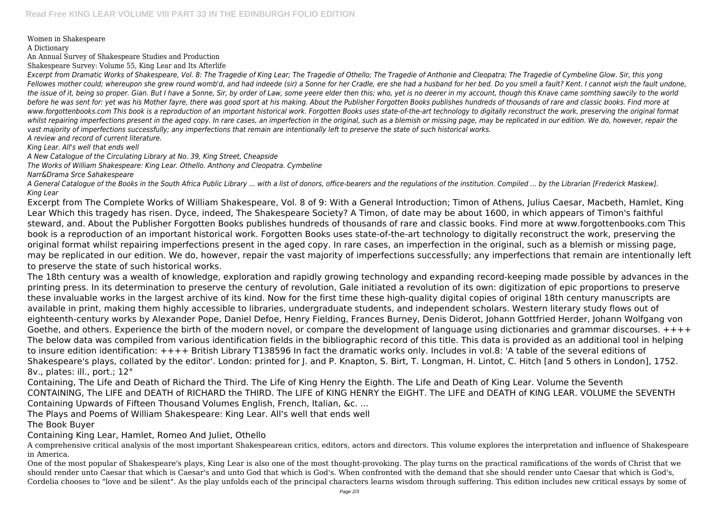Women in Shakespeare

A Dictionary

An Annual Survey of Shakespeare Studies and Production

Shakespeare Survey: Volume 55, King Lear and Its Afterlife

*Excerpt from Dramatic Works of Shakespeare, Vol. 8: The Tragedie of King Lear; The Tragedie of Othello; The Tragedie of Anthonie and Cleopatra; The Tragedie of Cymbeline Glow. Sir, this yong Fellowes mother could; whereupon she grew round womb'd, and had indeede (sir) a Sonne for her Cradle, ere she had a husband for her bed. Do you smell a fault? Kent. I cannot wish the fault undone, the issue of it, being so proper. Gian. But I have a Sonne, Sir, by order of Law, some yeere elder then this; who, yet is no deerer in my account, though this Knave came somthing sawcily to the world before he was sent for: yet was his Mother fayre, there was good sport at his making. About the Publisher Forgotten Books publishes hundreds of thousands of rare and classic books. Find more at* www.forgottenbooks.com This book is a reproduction of an important historical work. Forgotten Books uses state-of-the-art technology to digitally reconstruct the work, preserving the original format whilst repairing imperfections present in the aged copy. In rare cases, an imperfection in the original, such as a blemish or missing page, may be replicated in our edition. We do, however, repair the *vast majority of imperfections successfully; any imperfections that remain are intentionally left to preserve the state of such historical works. A review and record of current literature.*

*King Lear. All's well that ends well*

*A New Catalogue of the Circulating Library at No. 39, King Street, Cheapside*

*The Works of William Shakespeare: King Lear. Othello. Anthony and Cleopatra. Cymbeline*

*Narr&Drama Srce Sahakespeare*

*A General Catalogue of the Books in the South Africa Public Library ... with a list of donors, office-bearers and the regulations of the institution. Compiled ... by the Librarian [Frederick Maskew]. King Lear*

Excerpt from The Complete Works of William Shakespeare, Vol. 8 of 9: With a General Introduction; Timon of Athens, Julius Caesar, Macbeth, Hamlet, King Lear Which this tragedy has risen. Dyce, indeed, The Shakespeare Society? A Timon, of date may be about 1600, in which appears of Timon's faithful steward, and. About the Publisher Forgotten Books publishes hundreds of thousands of rare and classic books. Find more at www.forgottenbooks.com This book is a reproduction of an important historical work. Forgotten Books uses state-of-the-art technology to digitally reconstruct the work, preserving the original format whilst repairing imperfections present in the aged copy. In rare cases, an imperfection in the original, such as a blemish or missing page, may be replicated in our edition. We do, however, repair the vast majority of imperfections successfully; any imperfections that remain are intentionally left to preserve the state of such historical works.

The 18th century was a wealth of knowledge, exploration and rapidly growing technology and expanding record-keeping made possible by advances in the printing press. In its determination to preserve the century of revolution, Gale initiated a revolution of its own: digitization of epic proportions to preserve these invaluable works in the largest archive of its kind. Now for the first time these high-quality digital copies of original 18th century manuscripts are available in print, making them highly accessible to libraries, undergraduate students, and independent scholars. Western literary study flows out of eighteenth-century works by Alexander Pope, Daniel Defoe, Henry Fielding, Frances Burney, Denis Diderot, Johann Gottfried Herder, Johann Wolfgang von Goethe, and others. Experience the birth of the modern novel, or compare the development of language using dictionaries and grammar discourses.  $++++$ The below data was compiled from various identification fields in the bibliographic record of this title. This data is provided as an additional tool in helping to insure edition identification: ++++ British Library T138596 In fact the dramatic works only. Includes in vol.8: 'A table of the several editions of Shakespeare's plays, collated by the editor'. London: printed for J. and P. Knapton, S. Birt, T. Longman, H. Lintot, C. Hitch [and 5 others in London], 1752. 8v., plates: ill., port.; 12°

Containing, The Life and Death of Richard the Third. The Life of King Henry the Eighth. The Life and Death of King Lear. Volume the Seventh CONTAINING, The LIFE and DEATH of RICHARD the THIRD. The LIFE of KING HENRY the EIGHT. The LIFE and DEATH of KING LEAR. VOLUME the SEVENTH Containing Upwards of Fifteen Thousand Volumes English, French, Italian, &c. ...

The Plays and Poems of William Shakespeare: King Lear. All's well that ends well

The Book Buyer

Containing King Lear, Hamlet, Romeo And Juliet, Othello

A comprehensive critical analysis of the most important Shakespearean critics, editors, actors and directors. This volume explores the interpretation and influence of Shakespeare in America.

One of the most popular of Shakespeare's plays, King Lear is also one of the most thought-provoking. The play turns on the practical ramifications of the words of Christ that we should render unto Caesar that which is Caesar's and unto God that which is God's. When confronted with the demand that she should render unto Caesar that which is God's, Cordelia chooses to "love and be silent". As the play unfolds each of the principal characters learns wisdom through suffering. This edition includes new critical essays by some of